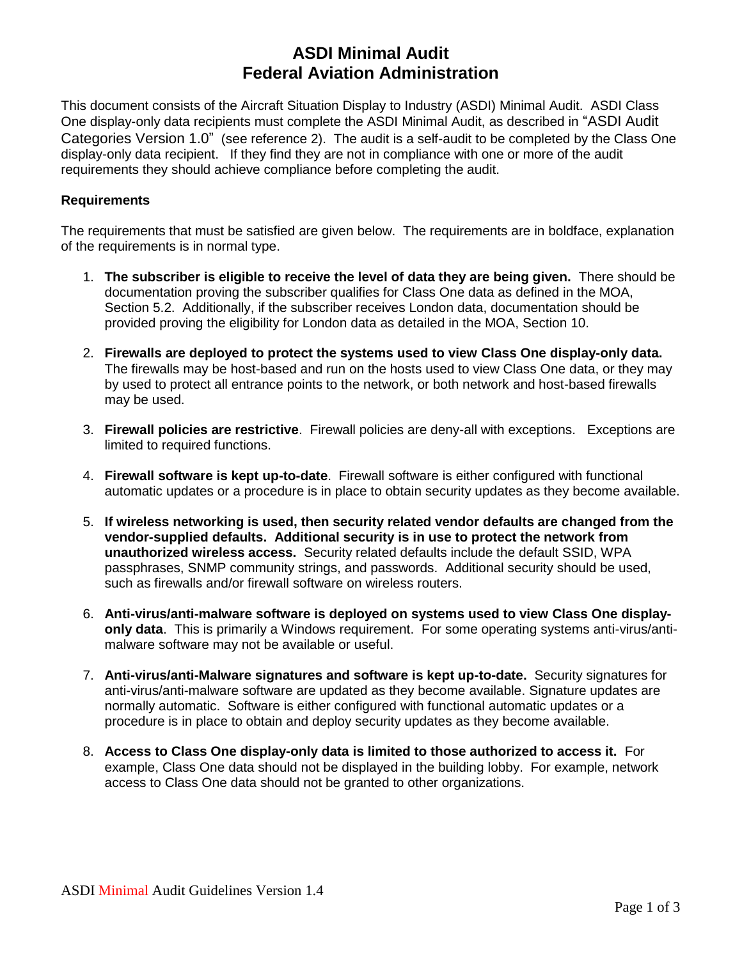# **ASDI Minimal Audit Federal Aviation Administration**

This document consists of the Aircraft Situation Display to Industry (ASDI) Minimal Audit. ASDI Class One display-only data recipients must complete the ASDI Minimal Audit, as described in "ASDI Audit Categories Version 1.0" (see reference 2). The audit is a self-audit to be completed by the Class One display-only data recipient. If they find they are not in compliance with one or more of the audit requirements they should achieve compliance before completing the audit.

## **Requirements**

The requirements that must be satisfied are given below. The requirements are in boldface, explanation of the requirements is in normal type.

- 1. **The subscriber is eligible to receive the level of data they are being given.** There should be documentation proving the subscriber qualifies for Class One data as defined in the MOA, Section 5.2. Additionally, if the subscriber receives London data, documentation should be provided proving the eligibility for London data as detailed in the MOA, Section 10.
- 2. **Firewalls are deployed to protect the systems used to view Class One display-only data.** The firewalls may be host-based and run on the hosts used to view Class One data, or they may by used to protect all entrance points to the network, or both network and host-based firewalls may be used.
- 3. **Firewall policies are restrictive**. Firewall policies are deny-all with exceptions. Exceptions are limited to required functions.
- 4. **Firewall software is kept up-to-date**. Firewall software is either configured with functional automatic updates or a procedure is in place to obtain security updates as they become available.
- 5. **If wireless networking is used, then security related vendor defaults are changed from the vendor-supplied defaults. Additional security is in use to protect the network from unauthorized wireless access.** Security related defaults include the default SSID, WPA passphrases, SNMP community strings, and passwords. Additional security should be used, such as firewalls and/or firewall software on wireless routers.
- 6. **Anti-virus/anti-malware software is deployed on systems used to view Class One displayonly data**. This is primarily a Windows requirement. For some operating systems anti-virus/antimalware software may not be available or useful.
- 7. **Anti-virus/anti-Malware signatures and software is kept up-to-date.** Security signatures for anti-virus/anti-malware software are updated as they become available. Signature updates are normally automatic. Software is either configured with functional automatic updates or a procedure is in place to obtain and deploy security updates as they become available.
- 8. **Access to Class One display-only data is limited to those authorized to access it.** For example, Class One data should not be displayed in the building lobby. For example, network access to Class One data should not be granted to other organizations.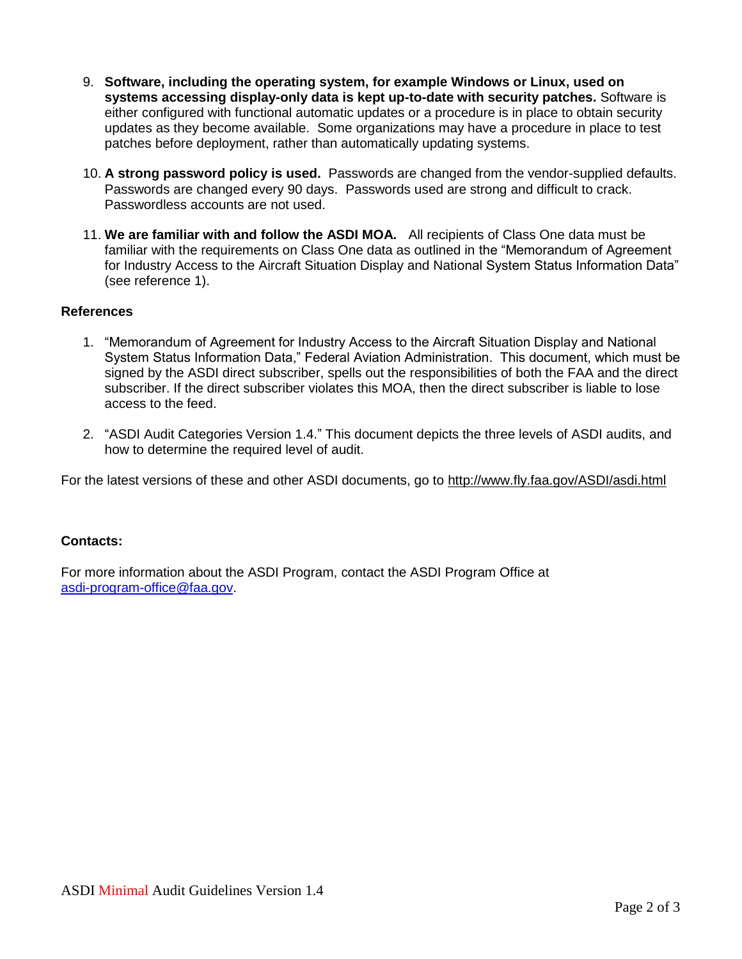- 9. **Software, including the operating system, for example Windows or Linux, used on systems accessing display-only data is kept up-to-date with security patches.** Software is either configured with functional automatic updates or a procedure is in place to obtain security updates as they become available. Some organizations may have a procedure in place to test patches before deployment, rather than automatically updating systems.
- 10. **A strong password policy is used.** Passwords are changed from the vendor-supplied defaults. Passwords are changed every 90 days. Passwords used are strong and difficult to crack. Passwordless accounts are not used.
- 11. **We are familiar with and follow the ASDI MOA.** All recipients of Class One data must be familiar with the requirements on Class One data as outlined in the "Memorandum of Agreement for Industry Access to the Aircraft Situation Display and National System Status Information Data" (see reference 1).

### **References**

- 1. "Memorandum of Agreement for Industry Access to the Aircraft Situation Display and National System Status Information Data," Federal Aviation Administration. This document, which must be signed by the ASDI direct subscriber, spells out the responsibilities of both the FAA and the direct subscriber. If the direct subscriber violates this MOA, then the direct subscriber is liable to lose access to the feed.
- 2. "ASDI Audit Categories Version 1.4." This document depicts the three levels of ASDI audits, and how to determine the required level of audit.

For the latest versions of these and other ASDI documents, go to http://www.fly.faa.gov/ASDI/asdi.html

#### **Contacts:**

For more information about the ASDI Program, contact the ASDI Program Office at [asdi-program-office@faa.gov.](mailto:asdi-program-office@faa.gov)